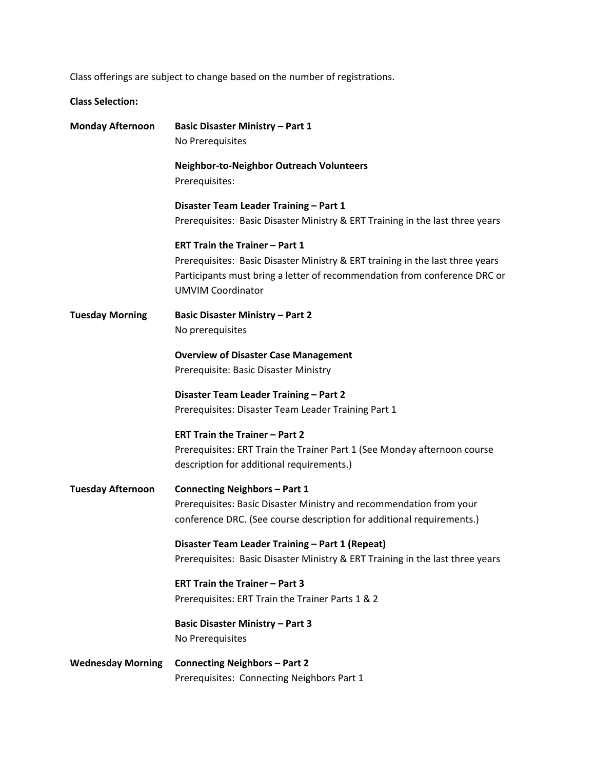Class offerings are subject to change based on the number of registrations.

**Class Selection:**

| <b>Monday Afternoon</b>  | <b>Basic Disaster Ministry - Part 1</b><br>No Prerequisites                                                                                                                                                                     |
|--------------------------|---------------------------------------------------------------------------------------------------------------------------------------------------------------------------------------------------------------------------------|
|                          | <b>Neighbor-to-Neighbor Outreach Volunteers</b><br>Prerequisites:                                                                                                                                                               |
|                          | Disaster Team Leader Training - Part 1<br>Prerequisites: Basic Disaster Ministry & ERT Training in the last three years                                                                                                         |
|                          | <b>ERT Train the Trainer - Part 1</b><br>Prerequisites: Basic Disaster Ministry & ERT training in the last three years<br>Participants must bring a letter of recommendation from conference DRC or<br><b>UMVIM Coordinator</b> |
| <b>Tuesday Morning</b>   | <b>Basic Disaster Ministry - Part 2</b><br>No prerequisites                                                                                                                                                                     |
|                          | <b>Overview of Disaster Case Management</b><br>Prerequisite: Basic Disaster Ministry                                                                                                                                            |
|                          | Disaster Team Leader Training - Part 2<br>Prerequisites: Disaster Team Leader Training Part 1                                                                                                                                   |
|                          | <b>ERT Train the Trainer - Part 2</b><br>Prerequisites: ERT Train the Trainer Part 1 (See Monday afternoon course<br>description for additional requirements.)                                                                  |
| <b>Tuesday Afternoon</b> | <b>Connecting Neighbors - Part 1</b><br>Prerequisites: Basic Disaster Ministry and recommendation from your<br>conference DRC. (See course description for additional requirements.)                                            |
|                          | Disaster Team Leader Training - Part 1 (Repeat)<br>Prerequisites: Basic Disaster Ministry & ERT Training in the last three years                                                                                                |
|                          | <b>ERT Train the Trainer - Part 3</b><br>Prerequisites: ERT Train the Trainer Parts 1 & 2                                                                                                                                       |
|                          | <b>Basic Disaster Ministry - Part 3</b><br>No Prerequisites                                                                                                                                                                     |
| <b>Wednesday Morning</b> | <b>Connecting Neighbors - Part 2</b><br>Prerequisites: Connecting Neighbors Part 1                                                                                                                                              |